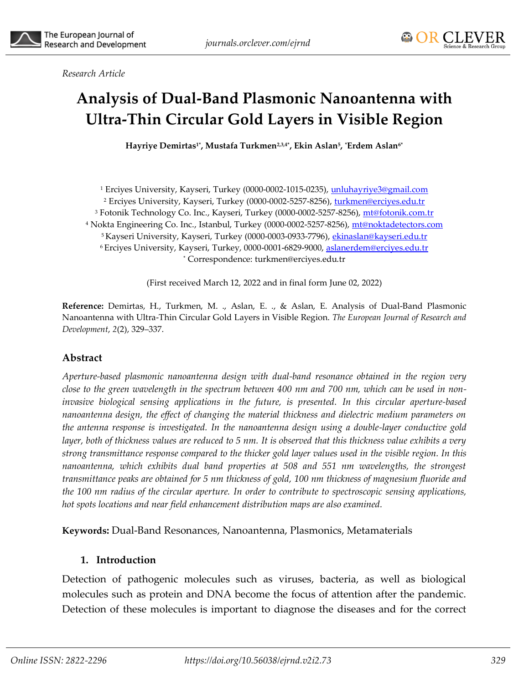# **Analysis of Dual-Band Plasmonic Nanoantenna with Ultra-Thin Circular Gold Layers in Visible Region**

 ${\bf H}$ ayriye Demirtas1\*, Mustafa Turkmen<sup>2,3,4\*</sup>, Ekin Aslan<sup>5</sup>, \*Erdem Aslan<sup>6\*</sup>

<sup>1</sup> Erciyes University, Kayseri, Turkey (0000-0002-1015-0235), [unluhayriye3@gmail.com](mailto:unluhayriye3@gmail.com) <sup>2</sup> Erciyes University, Kayseri, Turkey (0000-0002-5257-8256), [turkmen@erciyes.edu.tr](mailto:turkmen@erciyes.edu.tr) <sup>3</sup> Fotonik Technology Co. Inc., Kayseri, Turkey (0000-0002-5257-8256), [mt@fotonik.com.tr](mailto:mt@fotonik.com.tr) <sup>4</sup> Nokta Engineering Co. Inc., Istanbul, Turkey (0000-0002-5257-8256), [mt@noktadetectors.com](mailto:mt@noktadetectors.com) <sup>5</sup> Kayseri University, Kayseri, Turkey (0000-0003-0933-7796), [ekinaslan@kayseri.edu.tr](mailto:ekinaslan@kayseri.edu.tr) <sup>6</sup> Erciyes University, Kayseri, Turkey, 0000-0001-6829-9000, [aslanerdem@erciyes.edu.tr](mailto:aslanerdem@erciyes.edu.tr) \* Correspondence: turkmen@erciyes.edu.tr

(First received March 12, 2022 and in final form June 02, 2022)

**Reference:** Demirtas, H., Turkmen, M. ., Aslan, E. ., & Aslan, E. Analysis of Dual-Band Plasmonic Nanoantenna with Ultra-Thin Circular Gold Layers in Visible Region. *The European Journal of Research and Development*, *2*(2), 329–337.

#### **Abstract**

*Aperture-based plasmonic nanoantenna design with dual-band resonance obtained in the region very close to the green wavelength in the spectrum between 400 nm and 700 nm, which can be used in noninvasive biological sensing applications in the future, is presented. In this circular aperture-based nanoantenna design, the effect of changing the material thickness and dielectric medium parameters on the antenna response is investigated. In the nanoantenna design using a double-layer conductive gold layer, both of thickness values are reduced to 5 nm. It is observed that this thickness value exhibits a very strong transmittance response compared to the thicker gold layer values used in the visible region. In this nanoantenna, which exhibits dual band properties at 508 and 551 nm wavelengths, the strongest transmittance peaks are obtained for 5 nm thickness of gold, 100 nm thickness of magnesium fluoride and the 100 nm radius of the circular aperture. In order to contribute to spectroscopic sensing applications, hot spots locations and near field enhancement distribution maps are also examined.*

**Keywords:** Dual-Band Resonances, Nanoantenna, Plasmonics, Metamaterials

### **1. Introduction**

Detection of pathogenic molecules such as viruses, bacteria, as well as biological molecules such as protein and DNA become the focus of attention after the pandemic. Detection of these molecules is important to diagnose the diseases and for the correct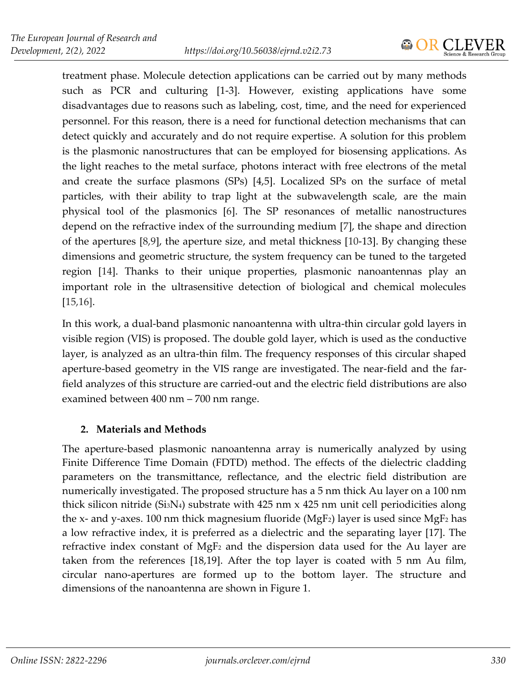

treatment phase. Molecule detection applications can be carried out by many methods such as PCR and culturing [1-3]. However, existing applications have some disadvantages due to reasons such as labeling, cost, time, and the need for experienced personnel. For this reason, there is a need for functional detection mechanisms that can detect quickly and accurately and do not require expertise. A solution for this problem is the plasmonic nanostructures that can be employed for biosensing applications. As the light reaches to the metal surface, photons interact with free electrons of the metal and create the surface plasmons (SPs) [4,5]. Localized SPs on the surface of metal particles, with their ability to trap light at the subwavelength scale, are the main physical tool of the plasmonics [6]. The SP resonances of metallic nanostructures depend on the refractive index of the surrounding medium [7], the shape and direction of the apertures [8,9], the aperture size, and metal thickness [10-13]. By changing these dimensions and geometric structure, the system frequency can be tuned to the targeted region [14]. Thanks to their unique properties, plasmonic nanoantennas play an important role in the ultrasensitive detection of biological and chemical molecules [15,16].

In this work, a dual-band plasmonic nanoantenna with ultra-thin circular gold layers in visible region (VIS) is proposed. The double gold layer, which is used as the conductive layer, is analyzed as an ultra-thin film. The frequency responses of this circular shaped aperture-based geometry in the VIS range are investigated. The near-field and the farfield analyzes of this structure are carried-out and the electric field distributions are also examined between 400 nm – 700 nm range.

# **2. Materials and Methods**

The aperture-based plasmonic nanoantenna array is numerically analyzed by using Finite Difference Time Domain (FDTD) method. The effects of the dielectric cladding parameters on the transmittance, reflectance, and the electric field distribution are numerically investigated. The proposed structure has a 5 nm thick Au layer on a 100 nm thick silicon nitride (Si<sub>3</sub>N<sub>4</sub>) substrate with 425 nm x 425 nm unit cell periodicities along the x- and y-axes. 100 nm thick magnesium fluoride (MgF<sub>2</sub>) layer is used since MgF<sub>2</sub> has a low refractive index, it is preferred as a dielectric and the separating layer [17]. The refractive index constant of MgF<sup>2</sup> and the dispersion data used for the Au layer are taken from the references [18,19]. After the top layer is coated with 5 nm Au film, circular nano-apertures are formed up to the bottom layer. The structure and dimensions of the nanoantenna are shown in Figure 1.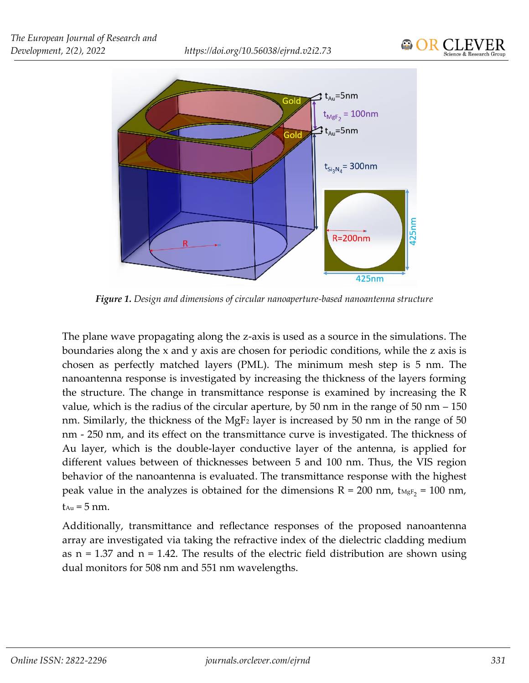

*Figure 1. Design and dimensions of circular nanoaperture-based nanoantenna structure*

The plane wave propagating along the z-axis is used as a source in the simulations. The boundaries along the x and y axis are chosen for periodic conditions, while the z axis is chosen as perfectly matched layers (PML). The minimum mesh step is 5 nm. The nanoantenna response is investigated by increasing the thickness of the layers forming the structure. The change in transmittance response is examined by increasing the R value, which is the radius of the circular aperture, by 50 nm in the range of 50 nm – 150 nm. Similarly, the thickness of the MgF<sub>2</sub> layer is increased by 50 nm in the range of 50 nm - 250 nm, and its effect on the transmittance curve is investigated. The thickness of Au layer, which is the double-layer conductive layer of the antenna, is applied for different values between of thicknesses between 5 and 100 nm. Thus, the VIS region behavior of the nanoantenna is evaluated. The transmittance response with the highest peak value in the analyzes is obtained for the dimensions  $R = 200$  nm,  $t_{MgF_2} = 100$  nm,  $t_{Au} = 5$  nm.

Additionally, transmittance and reflectance responses of the proposed nanoantenna array are investigated via taking the refractive index of the dielectric cladding medium as  $n = 1.37$  and  $n = 1.42$ . The results of the electric field distribution are shown using dual monitors for 508 nm and 551 nm wavelengths.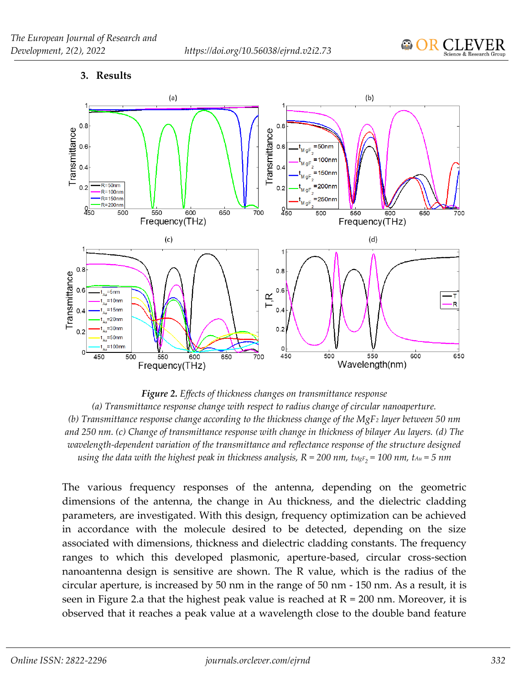#### **3. Results**



*Figure 2. Effects of thickness changes on transmittance response (a) Transmittance response change with respect to radius change of circular nanoaperture. (b) Transmittance response change according to the thickness change of the MgF<sup>2</sup> layer between 50 nm and 250 nm. (c) Change of transmittance response with change in thickness of bilayer Au layers. (d) The wavelength-dependent variation of the transmittance and reflectance response of the structure designed using the data with the highest peak in thickness analysis, R = 200 nm, tMgF2 = 100 nm, tAu = 5 nm*

The various frequency responses of the antenna, depending on the geometric dimensions of the antenna, the change in Au thickness, and the dielectric cladding parameters, are investigated. With this design, frequency optimization can be achieved in accordance with the molecule desired to be detected, depending on the size associated with dimensions, thickness and dielectric cladding constants. The frequency ranges to which this developed plasmonic, aperture-based, circular cross-section nanoantenna design is sensitive are shown. The R value, which is the radius of the circular aperture, is increased by 50 nm in the range of 50 nm - 150 nm. As a result, it is seen in Figure 2.a that the highest peak value is reached at  $R = 200$  nm. Moreover, it is observed that it reaches a peak value at a wavelength close to the double band feature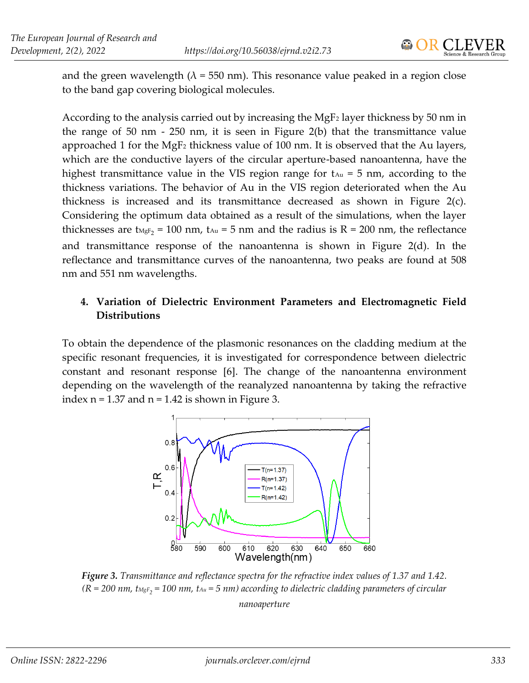

and the green wavelength ( $\lambda$  = 550 nm). This resonance value peaked in a region close to the band gap covering biological molecules.

According to the analysis carried out by increasing the MgF<sub>2</sub> layer thickness by 50 nm in the range of 50 nm - 250 nm, it is seen in Figure 2(b) that the transmittance value approached 1 for the MgF<sup>2</sup> thickness value of 100 nm. It is observed that the Au layers, which are the conductive layers of the circular aperture-based nanoantenna, have the highest transmittance value in the VIS region range for  $t_{Au} = 5$  nm, according to the thickness variations. The behavior of Au in the VIS region deteriorated when the Au thickness is increased and its transmittance decreased as shown in Figure 2(c). Considering the optimum data obtained as a result of the simulations, when the layer thicknesses are t<sub>MgF<sub>2</sub></sub> = 100 nm, t<sub>Au</sub> = 5 nm and the radius is R = 200 nm, the reflectance and transmittance response of the nanoantenna is shown in Figure 2(d). In the reflectance and transmittance curves of the nanoantenna, two peaks are found at 508 nm and 551 nm wavelengths.

## **4. Variation of Dielectric Environment Parameters and Electromagnetic Field Distributions**

To obtain the dependence of the plasmonic resonances on the cladding medium at the specific resonant frequencies, it is investigated for correspondence between dielectric constant and resonant response [6]. The change of the nanoantenna environment depending on the wavelength of the reanalyzed nanoantenna by taking the refractive index  $n = 1.37$  and  $n = 1.42$  is shown in Figure 3.



*Figure 3. Transmittance and reflectance spectra for the refractive index values of 1.37 and 1.42. (R = 200 nm, tMgF2 = 100 nm, tAu = 5 nm) according to dielectric cladding parameters of circular nanoaperture*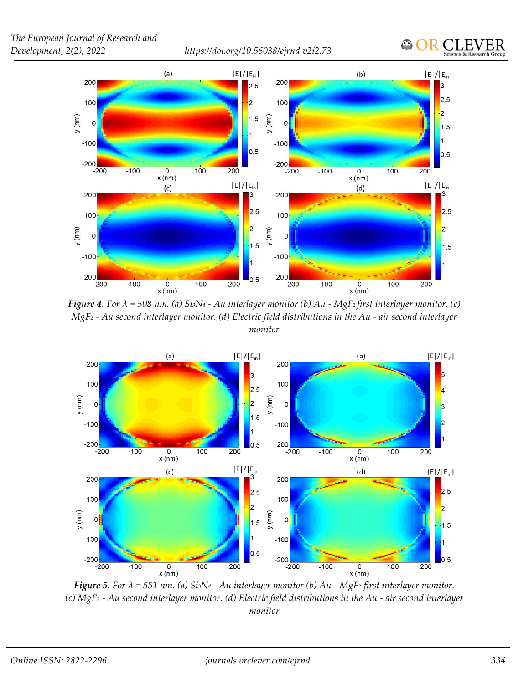



*Figure 4. For λ = 508 nm. (a) Si3N<sup>4</sup> - Au interlayer monitor (b) Au - MgF2 first interlayer monitor. (c) MgF<sup>2</sup> - Au second interlayer monitor. (d) Electric field distributions in the Au - air second interlayer monitor*



*Figure 5. For λ = 551 nm. (a) Si3N<sup>4</sup> - Au interlayer monitor (b) Au - MgF<sup>2</sup> first interlayer monitor. (c) MgF<sup>2</sup> - Au second interlayer monitor. (d) Electric field distributions in the Au - air second interlayer monitor*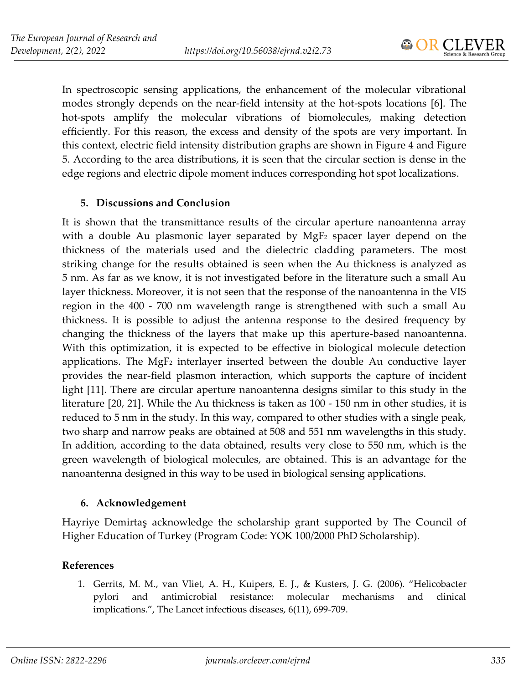In spectroscopic sensing applications, the enhancement of the molecular vibrational modes strongly depends on the near-field intensity at the hot-spots locations [6]. The hot-spots amplify the molecular vibrations of biomolecules, making detection efficiently. For this reason, the excess and density of the spots are very important. In this context, electric field intensity distribution graphs are shown in Figure 4 and Figure 5. According to the area distributions, it is seen that the circular section is dense in the edge regions and electric dipole moment induces corresponding hot spot localizations.

#### **5. Discussions and Conclusion**

It is shown that the transmittance results of the circular aperture nanoantenna array with a double Au plasmonic layer separated by MgF<sup>2</sup> spacer layer depend on the thickness of the materials used and the dielectric cladding parameters. The most striking change for the results obtained is seen when the Au thickness is analyzed as 5 nm. As far as we know, it is not investigated before in the literature such a small Au layer thickness. Moreover, it is not seen that the response of the nanoantenna in the VIS region in the 400 - 700 nm wavelength range is strengthened with such a small Au thickness. It is possible to adjust the antenna response to the desired frequency by changing the thickness of the layers that make up this aperture-based nanoantenna. With this optimization, it is expected to be effective in biological molecule detection applications. The MgF<sup>2</sup> interlayer inserted between the double Au conductive layer provides the near-field plasmon interaction, which supports the capture of incident light [11]. There are circular aperture nanoantenna designs similar to this study in the literature [20, 21]. While the Au thickness is taken as 100 - 150 nm in other studies, it is reduced to 5 nm in the study. In this way, compared to other studies with a single peak, two sharp and narrow peaks are obtained at 508 and 551 nm wavelengths in this study. In addition, according to the data obtained, results very close to 550 nm, which is the green wavelength of biological molecules, are obtained. This is an advantage for the nanoantenna designed in this way to be used in biological sensing applications.

#### **6. Acknowledgement**

Hayriye Demirtaş acknowledge the scholarship grant supported by The Council of Higher Education of Turkey (Program Code: YOK 100/2000 PhD Scholarship).

#### **References**

1. Gerrits, M. M., van Vliet, A. H., Kuipers, E. J., & Kusters, J. G. (2006). "Helicobacter pylori and antimicrobial resistance: molecular mechanisms and clinical implications.", The Lancet infectious diseases, 6(11), 699-709.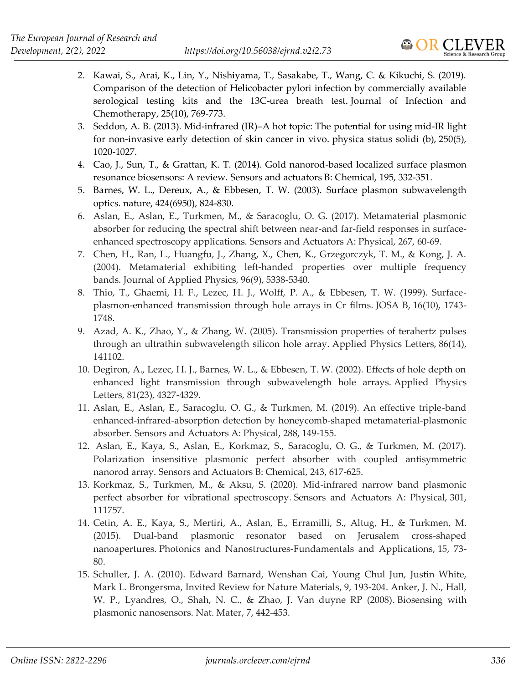- 2. Kawai, S., Arai, K., Lin, Y., Nishiyama, T., Sasakabe, T., Wang, C. & Kikuchi, S. (2019). Comparison of the detection of Helicobacter pylori infection by commercially available serological testing kits and the 13C-urea breath test. Journal of Infection and Chemotherapy, 25(10), 769-773.
- 3. Seddon, A. B. (2013). Mid‐infrared (IR)–A hot topic: The potential for using mid‐IR light for non‐invasive early detection of skin cancer in vivo. physica status solidi (b), 250(5), 1020-1027.
- 4. Cao, J., Sun, T., & Grattan, K. T. (2014). Gold nanorod-based localized surface plasmon resonance biosensors: A review. Sensors and actuators B: Chemical, 195, 332-351.
- 5. Barnes, W. L., Dereux, A., & Ebbesen, T. W. (2003). Surface plasmon subwavelength optics. nature, 424(6950), 824-830.
- 6. Aslan, E., Aslan, E., Turkmen, M., & Saracoglu, O. G. (2017). Metamaterial plasmonic absorber for reducing the spectral shift between near-and far-field responses in surfaceenhanced spectroscopy applications. Sensors and Actuators A: Physical, 267, 60-69.
- 7. Chen, H., Ran, L., Huangfu, J., Zhang, X., Chen, K., Grzegorczyk, T. M., & Kong, J. A. (2004). Metamaterial exhibiting left-handed properties over multiple frequency bands. Journal of Applied Physics, 96(9), 5338-5340.
- 8. Thio, T., Ghaemi, H. F., Lezec, H. J., Wolff, P. A., & Ebbesen, T. W. (1999). Surfaceplasmon-enhanced transmission through hole arrays in Cr films. JOSA B, 16(10), 1743- 1748.
- 9. Azad, A. K., Zhao, Y., & Zhang, W. (2005). Transmission properties of terahertz pulses through an ultrathin subwavelength silicon hole array. Applied Physics Letters, 86(14), 141102.
- 10. Degiron, A., Lezec, H. J., Barnes, W. L., & Ebbesen, T. W. (2002). Effects of hole depth on enhanced light transmission through subwavelength hole arrays. Applied Physics Letters, 81(23), 4327-4329.
- 11. Aslan, E., Aslan, E., Saracoglu, O. G., & Turkmen, M. (2019). An effective triple-band enhanced-infrared-absorption detection by honeycomb-shaped metamaterial-plasmonic absorber. Sensors and Actuators A: Physical, 288, 149-155.
- 12. Aslan, E., Kaya, S., Aslan, E., Korkmaz, S., Saracoglu, O. G., & Turkmen, M. (2017). Polarization insensitive plasmonic perfect absorber with coupled antisymmetric nanorod array. Sensors and Actuators B: Chemical, 243, 617-625.
- 13. Korkmaz, S., Turkmen, M., & Aksu, S. (2020). Mid-infrared narrow band plasmonic perfect absorber for vibrational spectroscopy. Sensors and Actuators A: Physical, 301, 111757.
- 14. Cetin, A. E., Kaya, S., Mertiri, A., Aslan, E., Erramilli, S., Altug, H., & Turkmen, M. (2015). Dual-band plasmonic resonator based on Jerusalem cross-shaped nanoapertures. Photonics and Nanostructures-Fundamentals and Applications, 15, 73- 80.
- 15. Schuller, J. A. (2010). Edward Barnard, Wenshan Cai, Young Chul Jun, Justin White, Mark L. Brongersma, Invited Review for Nature Materials, 9, 193-204. Anker, J. N., Hall, W. P., Lyandres, O., Shah, N. C., & Zhao, J. Van duyne RP (2008). Biosensing with plasmonic nanosensors. Nat. Mater, 7, 442-453.